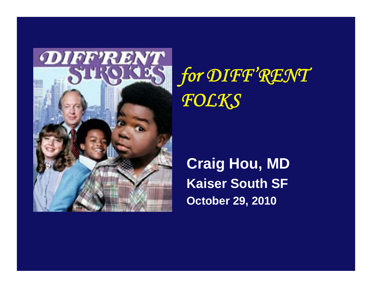

*for DIFF'RENT FOLKS*

**Craig Hou, MD Kaiser South SFOctober 29, 2010**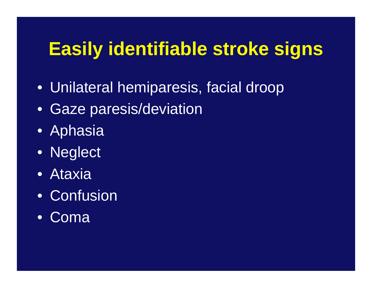# **Easily identifiable stroke signs**

- Unilateral hemiparesis, facial droop
- Gaze paresis/deviation
- Aphasia
- Neglect
- Ataxia
- Confusion
- Coma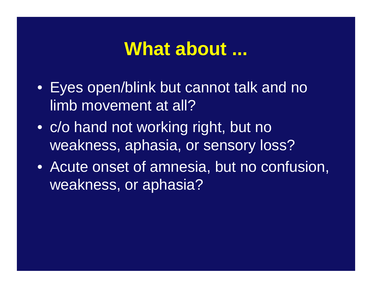#### **What about ...**

- Eyes open/blink but cannot talk and no limb movement at all?
- c/o hand not working right, but no weakness, aphasia, or sensory loss?
- Acute onset of amnesia, but no confusion, weakness, or aphasia?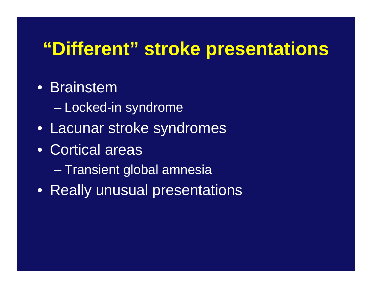## **"Different" stroke presentations**

#### • Brainstem

- Locked-in syndrome
- Lacunar stroke syndromes
- Cortical areas
	- $\mathcal{L}_{\mathcal{A}}$  , where  $\mathcal{L}_{\mathcal{A}}$  is the set of the set of the set of the set of the set of the set of the set of the set of the set of the set of the set of the set of the set of the set of the set of the set of the Transient global amnesia
- Really unusual presentations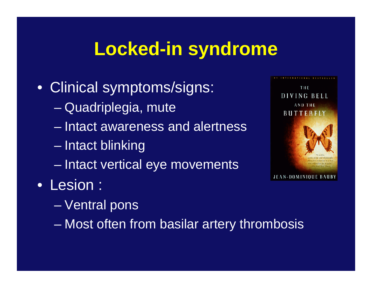## **Locked-in syndrome**

- Clinical symptoms/signs:
	- Quadriplegia, mute
	- Intact awareness and alertness
	- $\mathcal{L}_{\mathcal{A}}$ Intact blinking
	- $\mathcal{L}_{\mathcal{A}}$  , where  $\mathcal{L}_{\mathcal{A}}$  is the set of the set of the set of the set of the set of the set of the set of the set of the set of the set of the set of the set of the set of the set of the set of the set of the Intact vertical eye movements
- Lesion :
	- $\mathcal{L}_{\mathcal{A}}$ Ventral pons
	- $\mathcal{L}_{\mathcal{A}}$  , where  $\mathcal{L}_{\mathcal{A}}$  is the set of the set of the set of the set of the set of the set of the set of the set of the set of the set of the set of the set of the set of the set of the set of the set of the Most often from basilar artery thrombosis

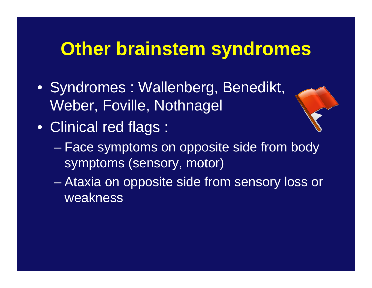## **Other brainstem syndromes**

- Syndromes : Wallenberg, Benedikt, Weber, Foville, Nothnagel
- Clinical red flags :
	- $\mathcal{L}_{\mathcal{A}}$  , where  $\mathcal{L}_{\mathcal{A}}$  is the set of the set of the set of the set of the set of the set of the set of the set of the set of the set of the set of the set of the set of the set of the set of the set of the Face symptoms on opposite side from body symptoms (sensory, motor)
	- $\mathcal{L}_{\mathcal{A}}$  Ataxia on opposite side from sensory loss or weakness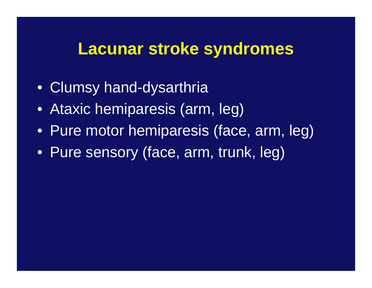#### **Lacunar stroke syndromes**

- Clumsy hand-dysarthria
- Ataxic hemiparesis (arm, leg)
- Pure motor hemiparesis (face, arm, leg)
- Pure sensory (face, arm, trunk, leg)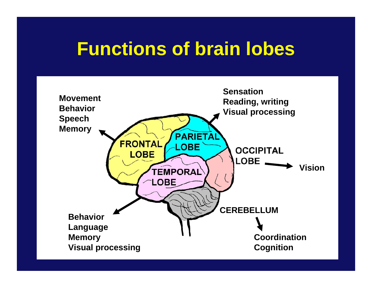## **Functions of brain lobes**

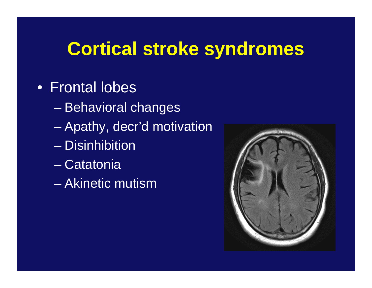## **Cortical stroke syndromes**

#### • Frontal lobes

- Behavioral changes
- Apathy, decr'd motivation
- Disinhibition
- Catatonia
- Akinetic mutism

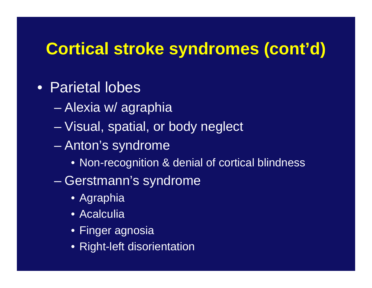#### **Cortical stroke syndromes (cont'd)**

#### • Parietal lobes

- Alexia w/ agraphia
- Visual, spatial, or body neglect
- $\mathcal{L}_{\mathcal{A}}$  Anton's syndrome
	- Non-recognition & denial of cortical blindness
- $\mathcal{L}_{\mathcal{A}}$  , where  $\mathcal{L}_{\mathcal{A}}$  is the set of the set of the set of the set of the set of the set of the set of the set of the set of the set of the set of the set of the set of the set of the set of the set of the Gerstmann's syndrome
	- Agraphia
	- Acalculia
	- Finger agnosia
	- Right-left disorientation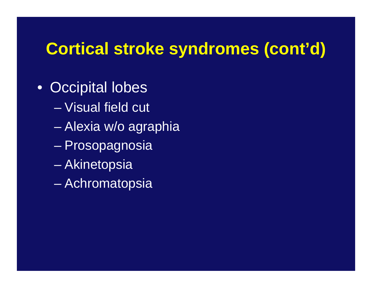#### **Cortical stroke syndromes (cont'd)**

- Occipital lobes
	- Visual field cut
	- Alexia w/o agraphia
	- $\mathcal{L}_{\mathcal{A}}$ Prosopagnosia
	- $\mathcal{L}_{\mathcal{A}}$  , where  $\mathcal{L}_{\mathcal{A}}$  is the set of the set of the set of the set of the set of the set of the set of the set of the set of the set of the set of the set of the set of the set of the set of the set of the Akinetopsia
	- $\mathcal{L}_{\mathcal{A}}$  , where  $\mathcal{L}_{\mathcal{A}}$  is the set of the set of the set of the set of the set of the set of the set of the set of the set of the set of the set of the set of the set of the set of the set of the set of the Achromatopsia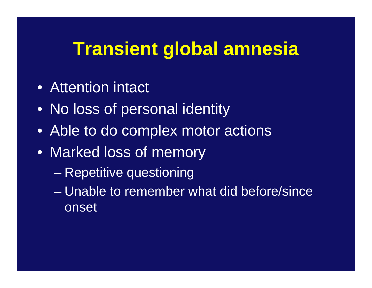## **Transient global amnesia**

- Attention intact
- No loss of personal identity
- Able to do complex motor actions
- Marked loss of memory
	- Repetitive questioning
	- Unable to remember what did before/since onset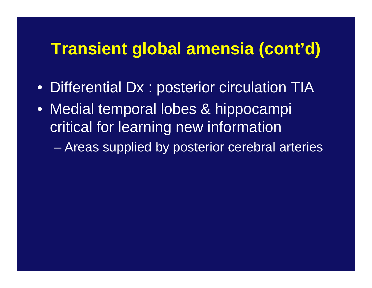#### **Transient global amensia (cont'd)**

- Differential Dx : posterior circulation TIA
- Medial temporal lobes & hippocampi critical for learning new information

 $\mathcal{L}_{\mathcal{A}}$  , where  $\mathcal{L}_{\mathcal{A}}$  is the set of the set of the set of the set of the set of the set of the set of the set of the set of the set of the set of the set of the set of the set of the set of the set of the Areas supplied by posterior cerebral arteries